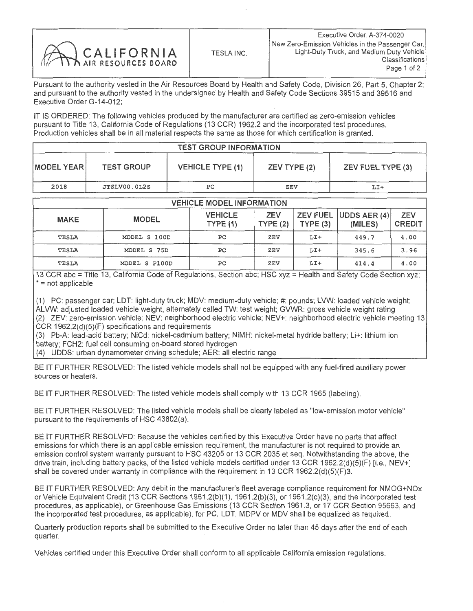|            |            | Executive Order: A-374-0020                                                                                                     |
|------------|------------|---------------------------------------------------------------------------------------------------------------------------------|
| CALIFORNIA | TESLA INC. | New Zero-Emission Vehicles in the Passenger Car.<br>Light-Duty Truck, and Medium Duty Vehicle<br>Classifications<br>Page 1 of 2 |

IT IS ORDERED: The following vehicles produced by the manufacturer are certified as zero-emission vehicles pursuant to Title 13, California Code of Regulations (13 CCR) 1962.2 and the incorporated test procedures. Production vehicles shall be in all material respects the same as those for which certification is granted.

| <b>TEST GROUP INFORMATION</b> |                   |                         |              |                   |  |  |  |
|-------------------------------|-------------------|-------------------------|--------------|-------------------|--|--|--|
| MODEL YEAR                    | <b>TEST GROUP</b> | <b>VEHICLE TYPE (1)</b> | ZEV TYPE (2) | ZEV FUEL TYPE (3) |  |  |  |
| 2018                          | JTSLV00.0L2S      | PC.                     | ZEV          | LI+               |  |  |  |

## **VEHICLE MODEL INFORMATION**

| <b>MAKE</b>  | <b>MODEL</b>  | <b>VEHICLE</b><br>TYPE(1) | <b>ZEV</b><br>TYPE(2) | TYPE(3) | ZEV FUEL UDDS AER (4)<br>(MILES) | <b>ZEV</b><br><b>CREDIT</b> |  |  |
|--------------|---------------|---------------------------|-----------------------|---------|----------------------------------|-----------------------------|--|--|
| TESLA        | MODEL S 100D  | PC                        | ZEV                   | $LI+$   | 449.7                            | 4.00                        |  |  |
| <b>TESLA</b> | MODEL S 75D   | PC.                       | ZEV                   | $LI+$   | 345.6                            | 3.96                        |  |  |
| TESLA        | MODEL S P100D | PС                        | ZEV                   | $LI+$   | 414.4                            | 4.00                        |  |  |

13 CCR abc = Title 13, California Code of Regulations, Section abc; HSC xyz = Health and Safety Code Section xyz;  $* = not applicable$ 

(1) PC: passenger car; LDT: light-duty truck; MDV: medium-duty vehicle; #: pounds; LVW: loaded vehicle weight; ALVW: adjusted loaded vehicle weight, alternately called TW: test weight; GVWR: gross vehicle weight rating (2) ZEV: zero-emission vehicle; NEV: neighborhood electric vehicle; NEV+: neighborhood electric vehicle meeting 13<br>CCR 1962.2(d)(5)(F) specifications and requirements CCR 1962.2(d)(5)(F) specifications and requirements

(3) Pb-A: lead-acid battery; NiCd: nickel-cadmium battery; NiMH: nickel-metal hydride battery; Lit: lithium ion battery; FCH2: fuel cell consuming on-board stored hydrogen

(4) UDDS: urban dynamometer driving schedule; AER: all electric range

BE IT FURTHER RESOLVED: The listed vehicle models shall not be equipped with any fuel-fired auxiliary power sources or heaters.

BE IT FURTHER RESOLVED: The listed vehicle models shall comply with 13 CCR 1965 (labeling).

BE IT FURTHER RESOLVED: The listed vehicle models shall be clearly labeled as "low-emission motor vehicle" pursuant to the requirements of HSC 43802(a).

BE IT FURTHER RESOLVED: Because the vehicles certified by this Executive Order have no parts that affect emissions for which there is an applicable emission requirement, the manufacturer is not required to provide an emission control system warranty pursuant to HSC 43205 or 13 CCR 2035 et seq. Notwithstanding the above, the drive train, including battery packs, of the listed vehicle models certified under 13 CCR 1962.2(d)(5)(F) [i.e., drive train, including battery packs, of the listed vehicle models certified under 13 CCR 1962.2(d)(5)(F) [i.e., NEV+]  $s$ hall be covered under warranty in compliance with the requirement in 13 CCR 1962.2(d)(5)(F)3.

BE IT FURTHER RESOLVED: Any debit in the manufacturer's fleet average compliance requirement for NMOG+NOx or Vehicle Equivalent Credit (13 CCR Sections 1961.2(b)(1), 1961.2(b)(3), or 1961.2(c)(3), and the incorporated test procedures, as applicable), or Greenhouse Gas Emissions (13 CCR Section 1961.3, or 17 CCR Section 95663, and the incorporated test procedures, as applicable), for PC, LDT, MDPV or MDV shall be equalized as required.

Quarterly production reports shall be submitted to the Executive Order no later than 45 days after the end of each quarter.

Vehicles certified under this Executive Order shall conform to all applicable California emission regulations.